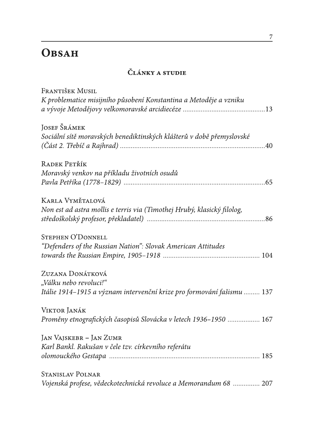## **OBSAH**

## ČLÁNKY A STUDIE

| FRANTIŠEK MUSIL                                                                                                                                                                                                                                                                                                                                                                                                                     |
|-------------------------------------------------------------------------------------------------------------------------------------------------------------------------------------------------------------------------------------------------------------------------------------------------------------------------------------------------------------------------------------------------------------------------------------|
| K problematice misijního působení Konstantina a Metoděje a vzniku                                                                                                                                                                                                                                                                                                                                                                   |
| JOSEF ŠRÁMEK                                                                                                                                                                                                                                                                                                                                                                                                                        |
| Sociální sítě moravských benediktinských klášterů v době přemyslovské<br>$(\tilde{C}_{\tilde{a}}(z)$ $(\tilde{C}_{\tilde{a}}(z)$ $(\tilde{C}_{\tilde{a}}(z)$ $(\tilde{C}_{\tilde{a}}(z)$ $(\tilde{C}_{\tilde{a}}(z)$ $(\tilde{C}_{\tilde{a}}(z)$ $(\tilde{C}_{\tilde{a}}(z)$ $(\tilde{C}_{\tilde{a}}(z)$ $(\tilde{C}_{\tilde{a}}(z)$ $(\tilde{C}_{\tilde{a}}(z)$ $(\tilde{C}_{\tilde{a}}(z)$ $(\tilde{C}_{\tilde{a}}(z)$ $(\tilde{$ |
| RADEK PETŘÍK                                                                                                                                                                                                                                                                                                                                                                                                                        |
| Moravský venkov na příkladu životních osudů                                                                                                                                                                                                                                                                                                                                                                                         |
| KARLA VYMĚTALOVÁ                                                                                                                                                                                                                                                                                                                                                                                                                    |
| Non est ad astra mollis e terris via (Timothej Hrubý, klasický filolog,                                                                                                                                                                                                                                                                                                                                                             |
| <b>STEPHEN O'DONNELL</b>                                                                                                                                                                                                                                                                                                                                                                                                            |
| "Defenders of the Russian Nation": Slovak American Attitudes                                                                                                                                                                                                                                                                                                                                                                        |
|                                                                                                                                                                                                                                                                                                                                                                                                                                     |
| ZUZANA DONÁTKOVÁ                                                                                                                                                                                                                                                                                                                                                                                                                    |
| "Válku nebo revoluci!"                                                                                                                                                                                                                                                                                                                                                                                                              |
| Itálie 1914–1915 a význam intervenční krize pro formování fašismu  137                                                                                                                                                                                                                                                                                                                                                              |
| VIKTOR JANÁK                                                                                                                                                                                                                                                                                                                                                                                                                        |
| Proměny etnografických časopisů Slovácka v letech 1936–1950  167                                                                                                                                                                                                                                                                                                                                                                    |
| <b>JAN VAJSKEBR - JAN ZUMR</b>                                                                                                                                                                                                                                                                                                                                                                                                      |
| Karl Bankl. Rakušan v čele tzv. církevního referátu                                                                                                                                                                                                                                                                                                                                                                                 |
| 185                                                                                                                                                                                                                                                                                                                                                                                                                                 |
| <b>STANISLAV POLNAR</b>                                                                                                                                                                                                                                                                                                                                                                                                             |
| Vojenská profese, vědeckotechnická revoluce a Memorandum 68  207                                                                                                                                                                                                                                                                                                                                                                    |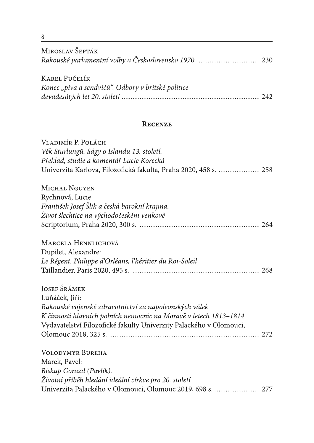| MIROSLAV ŠEPTÁK                                                    |  |  |  |
|--------------------------------------------------------------------|--|--|--|
|                                                                    |  |  |  |
| <b>KAREL PUČELÍK</b>                                               |  |  |  |
| Konec "piva a sendvičů". Odbory v britské politice                 |  |  |  |
|                                                                    |  |  |  |
| <b>RECENZE</b>                                                     |  |  |  |
| VLADIMÍR P. POLÁCH                                                 |  |  |  |
| Věk Sturlungů. Ságy o Islandu 13. století.                         |  |  |  |
| Překlad, studie a komentář Lucie Korecká                           |  |  |  |
| Univerzita Karlova, Filozofická fakulta, Praha 2020, 458 s.  258   |  |  |  |
| <b>MICHAL NGUYEN</b>                                               |  |  |  |
| Rychnová, Lucie:                                                   |  |  |  |
| František Josef Šlik a česká barokní krajina.                      |  |  |  |
| Život šlechtice na východočeském venkově                           |  |  |  |
|                                                                    |  |  |  |
| MARCELA HENNLICHOVÁ                                                |  |  |  |
| Dupilet, Alexandre:                                                |  |  |  |
| Le Régent. Philippe d'Orléans, l'héritier du Roi-Soleil            |  |  |  |
|                                                                    |  |  |  |
| JOSEF ŠRÁMEK                                                       |  |  |  |
| Luňáček, Jiří:                                                     |  |  |  |
| Rakouské vojenské zdravotnictví za napoleonských válek.            |  |  |  |
| K činnosti hlavních polních nemocnic na Moravě v letech 1813–1814  |  |  |  |
| Vydavatelství Filozofické fakulty Univerzity Palackého v Olomouci, |  |  |  |
|                                                                    |  |  |  |
| <b>VOLODYMYR BUREHA</b>                                            |  |  |  |
| Marek, Pavel:                                                      |  |  |  |
| Biskup Gorazd (Pavlík).                                            |  |  |  |
| Životní příběh hledání ideální církve pro 20. století              |  |  |  |
| Univerzita Palackého v Olomouci, Olomouc 2019, 698 s.  277         |  |  |  |

 $\frac{8}{1}$